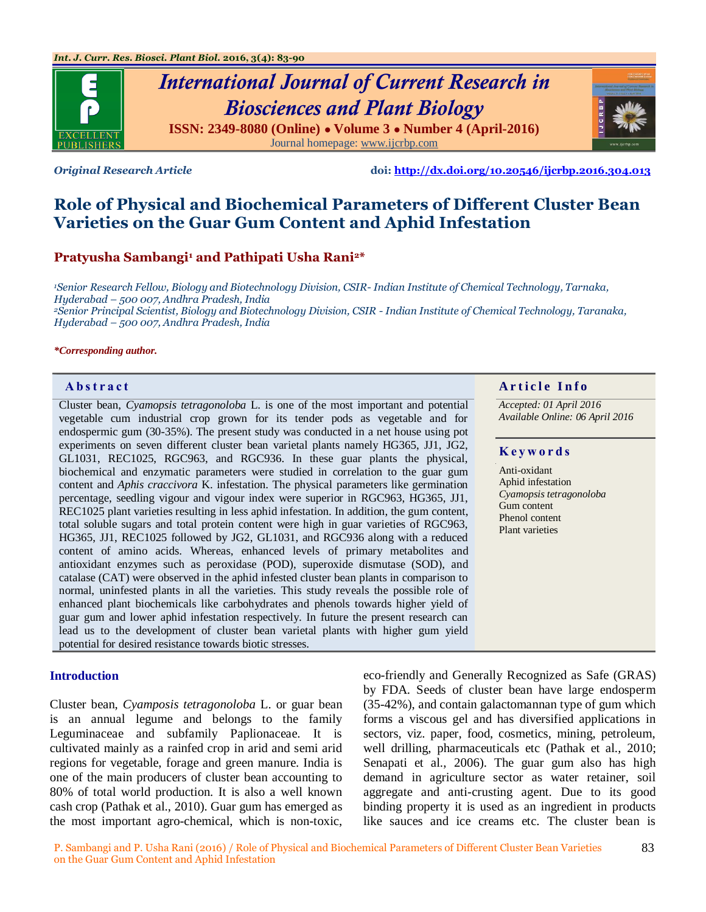

*Original Research Article* **doi:<http://dx.doi.org/10.20546/ijcrbp.2016.304.013>**

# **Role of Physical and Biochemical Parameters of Different Cluster Bean Varieties on the Guar Gum Content and Aphid Infestation**

# **Pratyusha Sambangi<sup>1</sup> and Pathipati Usha Rani2\***

*<sup>1</sup>Senior Research Fellow, Biology and Biotechnology Division, CSIR- Indian Institute of Chemical Technology, Tarnaka, Hyderabad – 500 007, Andhra Pradesh, India*

*<sup>2</sup>Senior Principal Scientist, Biology and Biotechnology Division, CSIR - Indian Institute of Chemical Technology, Taranaka, Hyderabad – 500 007, Andhra Pradesh, India*

#### *\*Corresponding author.*

Cluster bean, *Cyamopsis tetragonoloba* L. is one of the most important and potential vegetable cum industrial crop grown for its tender pods as vegetable and for endospermic gum (30-35%). The present study was conducted in a net house using pot experiments on seven different cluster bean varietal plants namely HG365, JJ1, JG2, GL1031, REC1025, RGC963, and RGC936. In these guar plants the physical, biochemical and enzymatic parameters were studied in correlation to the guar gum content and *Aphis craccivora* K. infestation. The physical parameters like germination percentage, seedling vigour and vigour index were superior in RGC963, HG365, JJ1, REC1025 plant varieties resulting in less aphid infestation. In addition, the gum content, total soluble sugars and total protein content were high in guar varieties of RGC963, HG365, JJ1, REC1025 followed by JG2, GL1031, and RGC936 along with a reduced content of amino acids. Whereas, enhanced levels of primary metabolites and antioxidant enzymes such as peroxidase (POD), superoxide dismutase (SOD), and catalase (CAT) were observed in the aphid infested cluster bean plants in comparison to normal, uninfested plants in all the varieties. This study reveals the possible role of enhanced plant biochemicals like carbohydrates and phenols towards higher yield of guar gum and lower aphid infestation respectively. In future the present research can lead us to the development of cluster bean varietal plants with higher gum yield potential for desired resistance towards biotic stresses.

#### **Introduction**

Cluster bean, *Cyamposis tetragonoloba* L. or guar bean is an annual legume and belongs to the family Leguminaceae and subfamily Paplionaceae. It is cultivated mainly as a rainfed crop in arid and semi arid regions for vegetable, forage and green manure. India is one of the main producers of cluster bean accounting to 80% of total world production. It is also a well known cash crop (Pathak et al., 2010). Guar gum has emerged as the most important agro-chemical, which is non-toxic,

# **Abstract And a region of the Info**  $\alpha$  **Article Info**

*Accepted: 01 April 2016 Available Online: 06 April 2016*

### **K e y w o r d s**

Anti-oxidant Aphid infestation *Cyamopsis tetragonoloba* Gum content Phenol content Plant varieties

eco-friendly and Generally Recognized as Safe (GRAS) by FDA. Seeds of cluster bean have large endosperm (35-42%), and contain galactomannan type of gum which forms a viscous gel and has diversified applications in sectors, viz. paper, food, cosmetics, mining, petroleum, well drilling, pharmaceuticals etc (Pathak et al., 2010; Senapati et al., 2006). The guar gum also has high demand in agriculture sector as water retainer, soil aggregate and anti-crusting agent. Due to its good binding property it is used as an ingredient in products like sauces and ice creams etc. The cluster bean is

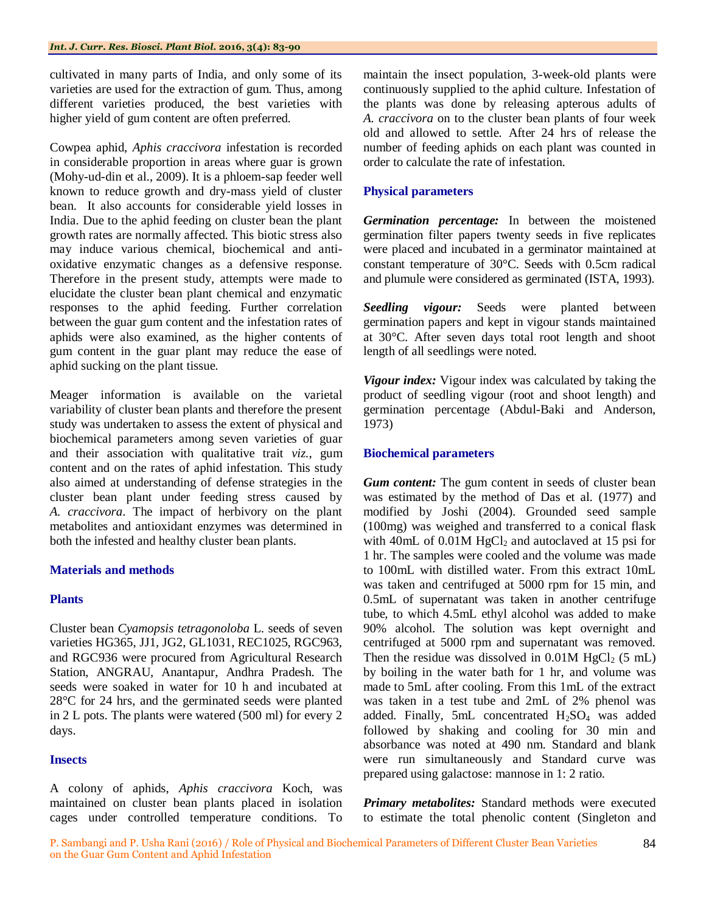cultivated in many parts of India, and only some of its varieties are used for the extraction of gum. Thus, among different varieties produced, the best varieties with higher yield of gum content are often preferred.

Cowpea aphid, *Aphis craccivora* infestation is recorded in considerable proportion in areas where guar is grown (Mohy-ud-din et al., 2009). It is a phloem-sap feeder well known to reduce growth and dry-mass yield of cluster bean. It also accounts for considerable yield losses in India. Due to the aphid feeding on cluster bean the plant growth rates are normally affected. This biotic stress also may induce various chemical, biochemical and antioxidative enzymatic changes as a defensive response. Therefore in the present study, attempts were made to elucidate the cluster bean plant chemical and enzymatic responses to the aphid feeding. Further correlation between the guar gum content and the infestation rates of aphids were also examined, as the higher contents of gum content in the guar plant may reduce the ease of aphid sucking on the plant tissue.

Meager information is available on the varietal variability of cluster bean plants and therefore the present study was undertaken to assess the extent of physical and biochemical parameters among seven varieties of guar and their association with qualitative trait *viz.*, gum content and on the rates of aphid infestation. This study also aimed at understanding of defense strategies in the cluster bean plant under feeding stress caused by *A. craccivora*. The impact of herbivory on the plant metabolites and antioxidant enzymes was determined in both the infested and healthy cluster bean plants.

# **Materials and methods**

# **Plants**

Cluster bean *Cyamopsis tetragonoloba* L. seeds of seven varieties HG365, JJ1, JG2, GL1031, REC1025, RGC963, and RGC936 were procured from Agricultural Research Station, ANGRAU, Anantapur, Andhra Pradesh. The seeds were soaked in water for 10 h and incubated at 28°C for 24 hrs, and the germinated seeds were planted in 2 L pots. The plants were watered (500 ml) for every 2 days.

# **Insects**

A colony of aphids, *Aphis craccivora* Koch, was maintained on cluster bean plants placed in isolation cages under controlled temperature conditions. To

maintain the insect population, 3-week-old plants were continuously supplied to the aphid culture. Infestation of the plants was done by releasing apterous adults of *A. craccivora* on to the cluster bean plants of four week old and allowed to settle. After 24 hrs of release the number of feeding aphids on each plant was counted in order to calculate the rate of infestation.

# **Physical parameters**

*Germination percentage:* In between the moistened germination filter papers twenty seeds in five replicates were placed and incubated in a germinator maintained at constant temperature of 30°C. Seeds with 0.5cm radical and plumule were considered as germinated (ISTA, 1993).

*Seedling vigour:* Seeds were planted between germination papers and kept in vigour stands maintained at 30°C. After seven days total root length and shoot length of all seedlings were noted.

*Vigour index:* Vigour index was calculated by taking the product of seedling vigour (root and shoot length) and germination percentage (Abdul-Baki and Anderson, 1973)

# **Biochemical parameters**

*Gum content:* The gum content in seeds of cluster bean was estimated by the method of Das et al. (1977) and modified by Joshi (2004). Grounded seed sample (100mg) was weighed and transferred to a conical flask with 40mL of  $0.01M$  HgCl<sub>2</sub> and autoclaved at 15 psi for 1 hr. The samples were cooled and the volume was made to 100mL with distilled water. From this extract 10mL was taken and centrifuged at 5000 rpm for 15 min, and 0.5mL of supernatant was taken in another centrifuge tube, to which 4.5mL ethyl alcohol was added to make 90% alcohol. The solution was kept overnight and centrifuged at 5000 rpm and supernatant was removed. Then the residue was dissolved in  $0.01M$  HgCl<sub>2</sub> (5 mL) by boiling in the water bath for 1 hr, and volume was made to 5mL after cooling. From this 1mL of the extract was taken in a test tube and 2mL of 2% phenol was added. Finally, 5mL concentrated  $H_2SO_4$  was added followed by shaking and cooling for 30 min and absorbance was noted at 490 nm. Standard and blank were run simultaneously and Standard curve was prepared using galactose: mannose in 1: 2 ratio.

*Primary metabolites:* Standard methods were executed to estimate the total phenolic content (Singleton and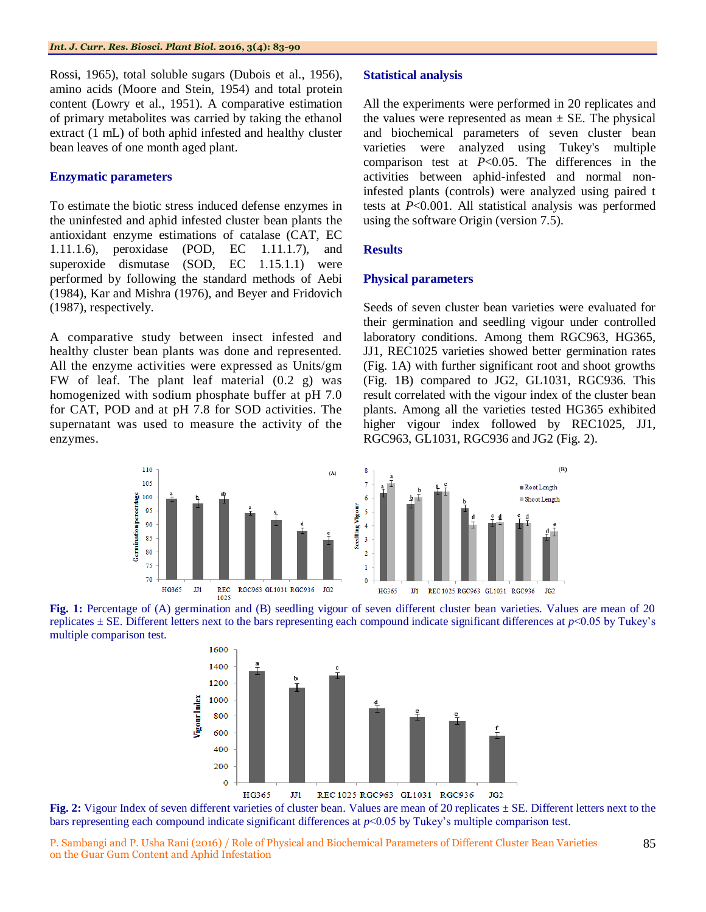Rossi, 1965), total soluble sugars (Dubois et al., 1956), amino acids (Moore and Stein, 1954) and total protein content (Lowry et al., 1951). A comparative estimation of primary metabolites was carried by taking the ethanol extract (1 mL) of both aphid infested and healthy cluster bean leaves of one month aged plant.

# **Enzymatic parameters**

To estimate the biotic stress induced defense enzymes in the uninfested and aphid infested cluster bean plants the antioxidant enzyme estimations of catalase (CAT, EC 1.11.1.6), peroxidase (POD, EC 1.11.1.7), and superoxide dismutase (SOD, EC 1.15.1.1) were performed by following the standard methods of Aebi (1984), Kar and Mishra (1976), and Beyer and Fridovich (1987), respectively.

A comparative study between insect infested and healthy cluster bean plants was done and represented. All the enzyme activities were expressed as Units/gm FW of leaf. The plant leaf material (0.2 g) was homogenized with sodium phosphate buffer at pH 7.0 for CAT, POD and at pH 7.8 for SOD activities. The supernatant was used to measure the activity of the enzymes.

### **Statistical analysis**

All the experiments were performed in 20 replicates and the values were represented as mean  $\pm$  SE. The physical and biochemical parameters of seven cluster bean varieties were analyzed using Tukey's multiple comparison test at *P*<0.05. The differences in the activities between aphid-infested and normal noninfested plants (controls) were analyzed using paired t tests at *P*<0.001. All statistical analysis was performed using the software Origin (version 7.5).

# **Results**

### **Physical parameters**

Seeds of seven cluster bean varieties were evaluated for their germination and seedling vigour under controlled laboratory conditions. Among them RGC963, HG365, JJ1, REC1025 varieties showed better germination rates (Fig. 1A) with further significant root and shoot growths (Fig. 1B) compared to JG2, GL1031, RGC936. This result correlated with the vigour index of the cluster bean plants. Among all the varieties tested HG365 exhibited higher vigour index followed by REC1025, JJ1, RGC963, GL1031, RGC936 and JG2 (Fig. 2).





**Fig. 1:** Percentage of (A) germination and (B) seedling vigour of seven different cluster bean varieties. Values are mean of 20 replicates  $\pm$  SE. Different letters next to the bars representing each compound indicate significant differences at  $p$ <0.05 by Tukey's multiple comparison test.



**Fig. 2:** Vigour Index of seven different varieties of cluster bean. Values are mean of 20 replicates  $\pm$  SE. Different letters next to the bars representing each compound indicate significant differences at *p*<0.05 by Tukey's multiple comparison test.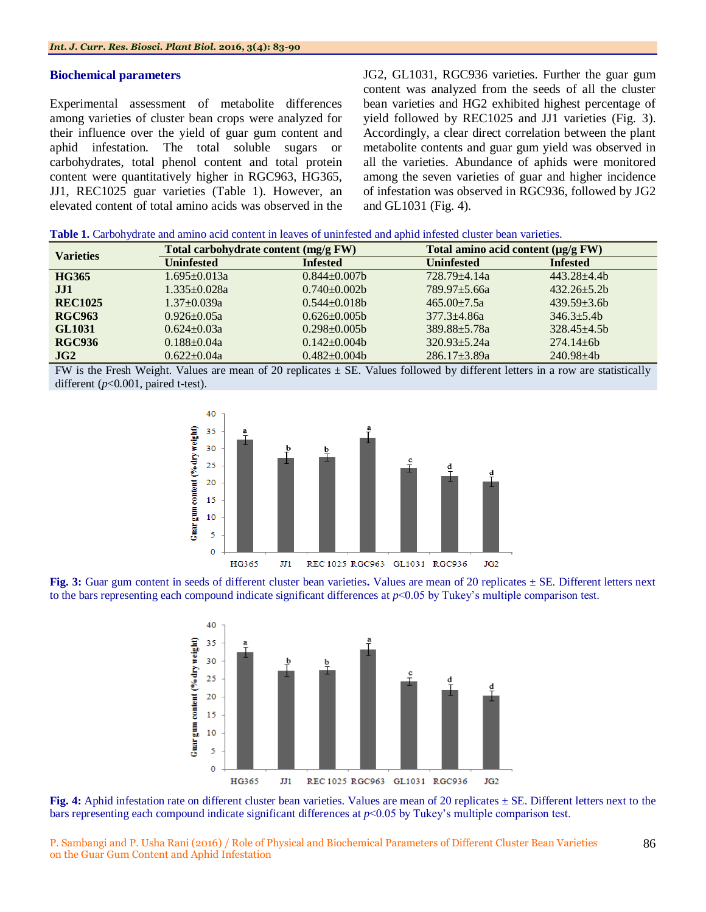#### **Biochemical parameters**

Experimental assessment of metabolite differences among varieties of cluster bean crops were analyzed for their influence over the yield of guar gum content and aphid infestation. The total soluble sugars or carbohydrates, total phenol content and total protein content were quantitatively higher in RGC963, HG365, JJ1, REC1025 guar varieties (Table 1). However, an elevated content of total amino acids was observed in the JG2, GL1031, RGC936 varieties. Further the guar gum content was analyzed from the seeds of all the cluster bean varieties and HG2 exhibited highest percentage of yield followed by REC1025 and JJ1 varieties (Fig. 3). Accordingly, a clear direct correlation between the plant metabolite contents and guar gum yield was observed in all the varieties. Abundance of aphids were monitored among the seven varieties of guar and higher incidence of infestation was observed in RGC936, followed by JG2 and GL1031 (Fig. 4).

|  | <b>Table 1.</b> Carbohydrate and amino acid content in leaves of uninfested and aphid infested cluster bean varieties. |  |  |  |  |  |  |  |  |
|--|------------------------------------------------------------------------------------------------------------------------|--|--|--|--|--|--|--|--|
|--|------------------------------------------------------------------------------------------------------------------------|--|--|--|--|--|--|--|--|

| <b>Varieties</b> | Total carbohydrate content (mg/g FW) |                   | Total amino acid content $(\mu g/g F W)$ |                 |  |
|------------------|--------------------------------------|-------------------|------------------------------------------|-----------------|--|
|                  | <b>Uninfested</b>                    | <b>Infested</b>   | <b>Uninfested</b>                        | <b>Infested</b> |  |
| <b>HG365</b>     | $1.695 \pm 0.013a$                   | $0.844 + 0.007$ b | $728.79 + 4.14a$                         | $443.28 + 4.4h$ |  |
| JJ1              | $1.335+0.028a$                       | $0.740+0.002b$    | $789.97 + 5.66a$                         | $432.26 + 5.2b$ |  |
| <b>REC1025</b>   | $1.37 \pm 0.039a$                    | $0.544 + 0.018h$  | $465.00 \pm 7.5a$                        | $439.59 + 3.6b$ |  |
| <b>RGC963</b>    | $0.926 \pm 0.05a$                    | $0.626 \pm 0.005$ | $377.3 + 4.86a$                          | $346.3 + 5.4b$  |  |
| <b>GL1031</b>    | $0.624 \pm 0.03a$                    | $0.298 + 0.005$   | $389.88 \pm 5.78a$                       | $328.45 + 4.5h$ |  |
| <b>RGC936</b>    | $0.188 + 0.04a$                      | $0.142 + 0.004b$  | $320.93 + 5.24a$                         | $274.14 + 6b$   |  |
| JG2              | $0.622 \pm 0.04a$                    | $0.482+0.004b$    | $286.17 \pm 3.89a$                       | $240.98 + 4b$   |  |

FW is the Fresh Weight. Values are mean of 20 replicates  $\pm$  SE. Values followed by different letters in a row are statistically different ( $p$ <0.001, paired t-test).



**Fig. 3:** Guar gum content in seeds of different cluster bean varieties**.** Values are mean of 20 replicates ± SE. Different letters next to the bars representing each compound indicate significant differences at *p*<0.05 by Tukey's multiple comparison test.



**Fig. 4:** Aphid infestation rate on different cluster bean varieties. Values are mean of 20 replicates  $\pm$  SE. Different letters next to the bars representing each compound indicate significant differences at *p*<0.05 by Tukey's multiple comparison test.

P. Sambangi and P. Usha Rani (2016) / Role of Physical and Biochemical Parameters of Different Cluster Bean Varieties on the Guar Gum Content and Aphid Infestation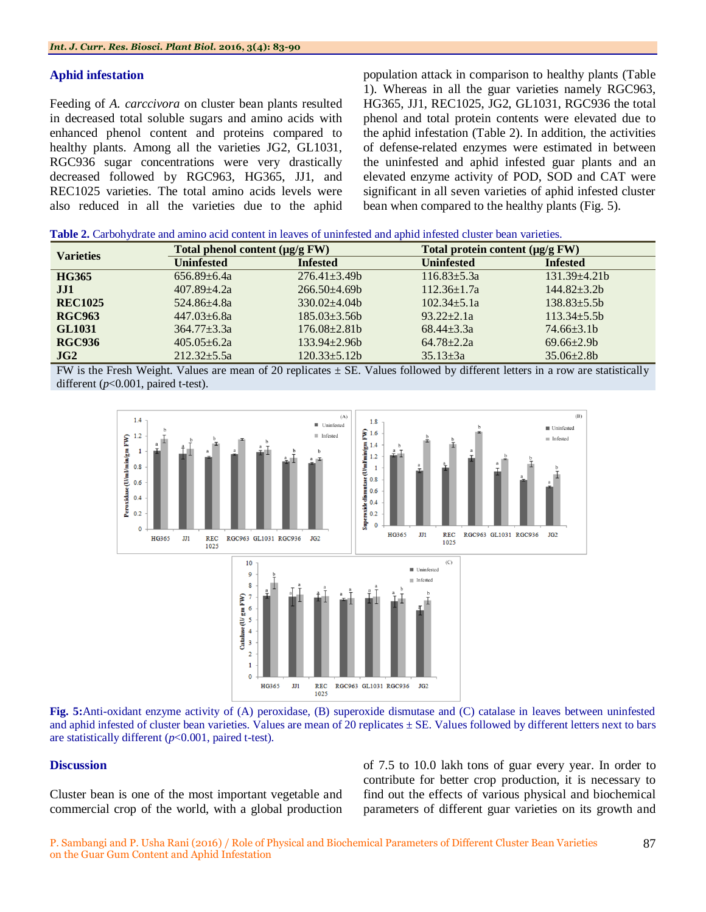### **Aphid infestation**

Feeding of *A. carccivora* on cluster bean plants resulted in decreased total soluble sugars and amino acids with enhanced phenol content and proteins compared to healthy plants. Among all the varieties JG2, GL1031, RGC936 sugar concentrations were very drastically decreased followed by RGC963, HG365, JJ1, and REC1025 varieties. The total amino acids levels were also reduced in all the varieties due to the aphid population attack in comparison to healthy plants (Table 1). Whereas in all the guar varieties namely RGC963, HG365, JJ1, REC1025, JG2, GL1031, RGC936 the total phenol and total protein contents were elevated due to the aphid infestation (Table 2). In addition, the activities of defense-related enzymes were estimated in between the uninfested and aphid infested guar plants and an elevated enzyme activity of POD, SOD and CAT were significant in all seven varieties of aphid infested cluster bean when compared to the healthy plants (Fig. 5).

| <b>Table 2.</b> Carbohydrate and amino acid content in leaves of uninfested and aphid infested cluster bean varieties. |  |
|------------------------------------------------------------------------------------------------------------------------|--|
|------------------------------------------------------------------------------------------------------------------------|--|

| <b>Varieties</b> | Total phenol content $(\mu g/g F W)$ |                    | Total protein content $(\mu g/g F W)$ |                     |  |
|------------------|--------------------------------------|--------------------|---------------------------------------|---------------------|--|
|                  | <b>Uninfested</b>                    | <b>Infested</b>    | <b>Uninfested</b>                     | <b>Infested</b>     |  |
| <b>HG365</b>     | $656.89 \pm 6.4a$                    | $276.41 \pm 3.49$  | $116.83 \pm 5.3a$                     | $131.39 \pm 4.21 b$ |  |
| JJI              | $407.89 \pm 4.2a$                    | $266.50 + 4.69$    | $112.36 \pm 1.7a$                     | $144.82 \pm 3.2b$   |  |
| <b>REC1025</b>   | 524.86±4.8a                          | $330.02 + 4.04b$   | $102.34 + 5.1a$                       | $138.83 \pm 5.5b$   |  |
| <b>RGC963</b>    | $447.03 \pm 6.8a$                    | $185.03 \pm 3.56b$ | $93.22 + 2.1a$                        | $113.34 \pm 5.5b$   |  |
| <b>GL1031</b>    | $364.77 \pm 3.3a$                    | $176.08 \pm 2.81$  | $68.44 + 3.3a$                        | $74.66\pm3.1b$      |  |
| <b>RGC936</b>    | $405.05 + 6.2a$                      | $133.94 + 2.96h$   | $64.78 + 2.2a$                        | $69.66 \pm 2.9b$    |  |
| JG2              | $212.32 + 5.5a$                      | $120.33 + 5.12b$   | $35.13 + 3a$                          | $35.06 + 2.8b$      |  |

FW is the Fresh Weight. Values are mean of 20 replicates  $\pm$  SE. Values followed by different letters in a row are statistically different (*p*<0.001, paired t-test).



**Fig. 5:**Anti-oxidant enzyme activity of (A) peroxidase, (B) superoxide dismutase and (C) catalase in leaves between uninfested and aphid infested of cluster bean varieties. Values are mean of 20 replicates  $\pm$  SE. Values followed by different letters next to bars are statistically different (*p*<0.001, paired t-test).

### **Discussion**

Cluster bean is one of the most important vegetable and commercial crop of the world, with a global production of 7.5 to 10.0 lakh tons of guar every year. In order to contribute for better crop production, it is necessary to find out the effects of various physical and biochemical parameters of different guar varieties on its growth and

87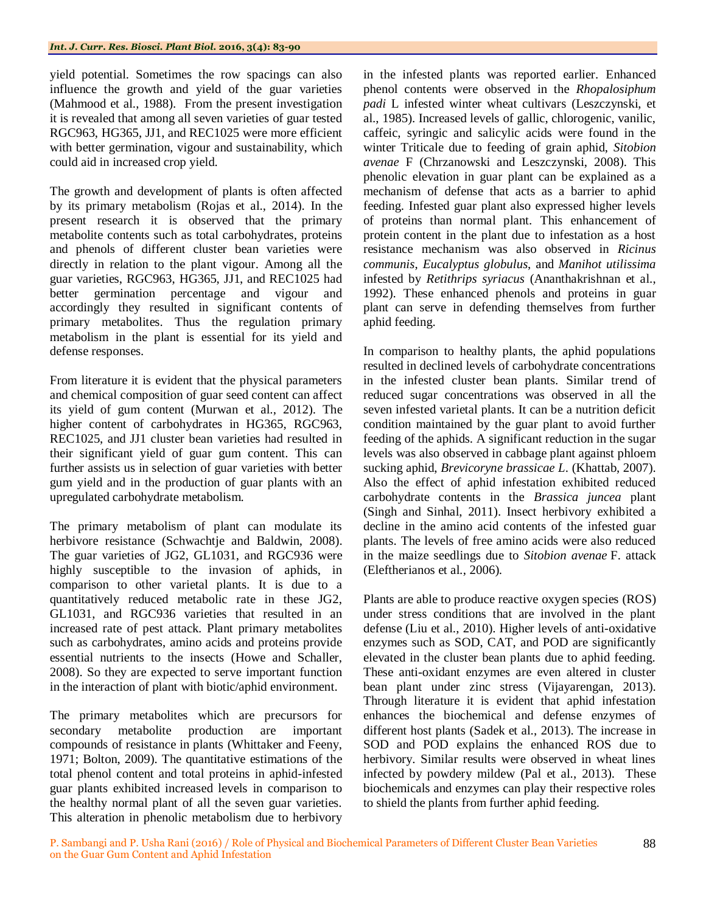yield potential. Sometimes the row spacings can also influence the growth and yield of the guar varieties (Mahmood et al., 1988). From the present investigation it is revealed that among all seven varieties of guar tested RGC963, HG365, JJ1, and REC1025 were more efficient with better germination, vigour and sustainability, which could aid in increased crop yield.

The growth and development of plants is often affected by its primary metabolism (Rojas et al., 2014). In the present research it is observed that the primary metabolite contents such as total carbohydrates, proteins and phenols of different cluster bean varieties were directly in relation to the plant vigour. Among all the guar varieties, RGC963, HG365, JJ1, and REC1025 had better germination percentage and vigour and accordingly they resulted in significant contents of primary metabolites. Thus the regulation primary metabolism in the plant is essential for its yield and defense responses.

From literature it is evident that the physical parameters and chemical composition of guar seed content can affect its yield of gum content (Murwan et al., 2012). The higher content of carbohydrates in HG365, RGC963, REC1025, and JJ1 cluster bean varieties had resulted in their significant yield of guar gum content. This can further assists us in selection of guar varieties with better gum yield and in the production of guar plants with an upregulated carbohydrate metabolism.

The primary metabolism of plant can modulate its herbivore resistance (Schwachtje and Baldwin, 2008). The guar varieties of JG2, GL1031, and RGC936 were highly susceptible to the invasion of aphids, in comparison to other varietal plants. It is due to a quantitatively reduced metabolic rate in these JG2, GL1031, and RGC936 varieties that resulted in an increased rate of pest attack. Plant primary metabolites such as carbohydrates, amino acids and proteins provide essential nutrients to the insects (Howe and Schaller, 2008). So they are expected to serve important function in the interaction of plant with biotic/aphid environment.

The primary metabolites which are precursors for secondary metabolite production are important compounds of resistance in plants (Whittaker and Feeny, 1971; Bolton, 2009). The quantitative estimations of the total phenol content and total proteins in aphid-infested guar plants exhibited increased levels in comparison to the healthy normal plant of all the seven guar varieties. This alteration in phenolic metabolism due to herbivory in the infested plants was reported earlier. Enhanced phenol contents were observed in the *Rhopalosiphum padi* L infested winter wheat cultivars (Leszczynski, et al., 1985). Increased levels of gallic, chlorogenic, vanilic, caffeic, syringic and salicylic acids were found in the winter Triticale due to feeding of grain aphid, *Sitobion avenae* F (Chrzanowski and Leszczynski, 2008). This phenolic elevation in guar plant can be explained as a mechanism of defense that acts as a barrier to aphid feeding. Infested guar plant also expressed higher levels of proteins than normal plant. This enhancement of protein content in the plant due to infestation as a host resistance mechanism was also observed in *Ricinus communis*, *Eucalyptus globulus*, and *Manihot utilissima* infested by *Retithrips syriacus* (Ananthakrishnan et al., 1992). These enhanced phenols and proteins in guar plant can serve in defending themselves from further aphid feeding.

In comparison to healthy plants, the aphid populations resulted in declined levels of carbohydrate concentrations in the infested cluster bean plants. Similar trend of reduced sugar concentrations was observed in all the seven infested varietal plants. It can be a nutrition deficit condition maintained by the guar plant to avoid further feeding of the aphids. A significant reduction in the sugar levels was also observed in cabbage plant against phloem sucking aphid, *Brevicoryne brassicae L*. (Khattab, 2007). Also the effect of aphid infestation exhibited reduced carbohydrate contents in the *Brassica juncea* plant (Singh and Sinhal, 2011). Insect herbivory exhibited a decline in the amino acid contents of the infested guar plants. The levels of free amino acids were also reduced in the maize seedlings due to *Sitobion avenae* F. attack (Eleftherianos et al., 2006).

Plants are able to produce reactive oxygen species (ROS) under stress conditions that are involved in the plant defense (Liu et al., 2010). Higher levels of anti-oxidative enzymes such as SOD, CAT, and POD are significantly elevated in the cluster bean plants due to aphid feeding. These anti-oxidant enzymes are even altered in cluster bean plant under zinc stress (Vijayarengan, 2013). Through literature it is evident that aphid infestation enhances the biochemical and defense enzymes of different host plants (Sadek et al., 2013). The increase in SOD and POD explains the enhanced ROS due to herbivory. Similar results were observed in wheat lines infected by powdery mildew (Pal et al., 2013). These biochemicals and enzymes can play their respective roles to shield the plants from further aphid feeding.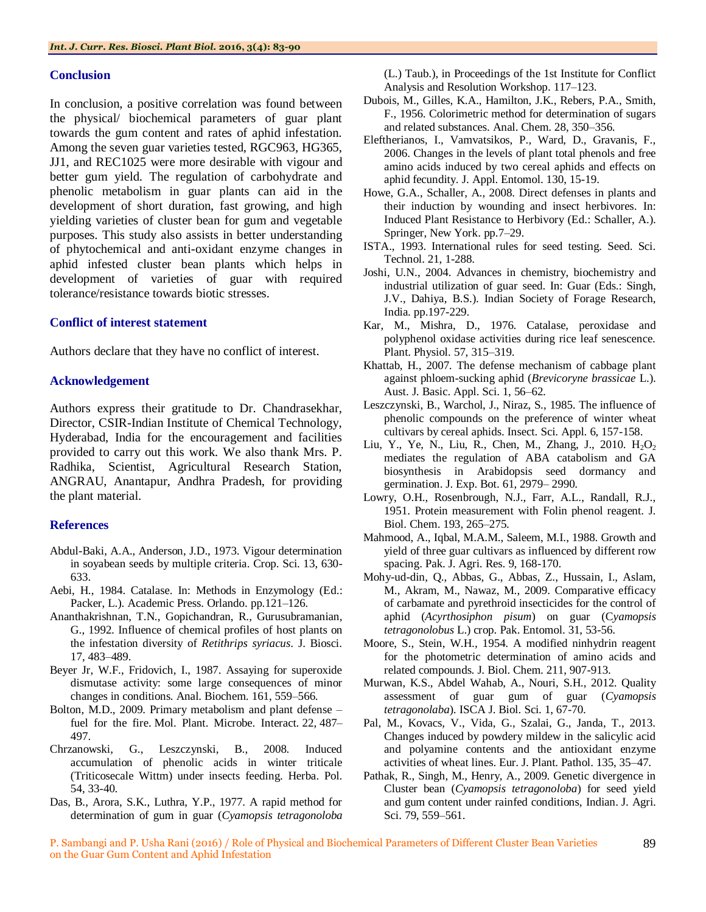#### **Conclusion**

In conclusion, a positive correlation was found between the physical/ biochemical parameters of guar plant towards the gum content and rates of aphid infestation. Among the seven guar varieties tested, RGC963, HG365, JJ1, and REC1025 were more desirable with vigour and better gum yield. The regulation of carbohydrate and phenolic metabolism in guar plants can aid in the development of short duration, fast growing, and high yielding varieties of cluster bean for gum and vegetable purposes. This study also assists in better understanding of phytochemical and anti-oxidant enzyme changes in aphid infested cluster bean plants which helps in development of varieties of guar with required tolerance/resistance towards biotic stresses.

# **Conflict of interest statement**

Authors declare that they have no conflict of interest.

# **Acknowledgement**

Authors express their gratitude to Dr. Chandrasekhar, Director, CSIR-Indian Institute of Chemical Technology, Hyderabad, India for the encouragement and facilities provided to carry out this work. We also thank Mrs. P. Radhika, Scientist, Agricultural Research Station, ANGRAU, Anantapur, Andhra Pradesh, for providing the plant material.

# **References**

- Abdul-Baki, A.A., Anderson, J.D., 1973. Vigour determination in soyabean seeds by multiple criteria. Crop. Sci. 13, 630- 633.
- Aebi, H., 1984. Catalase. In: Methods in Enzymology (Ed.: Packer, L.). Academic Press. Orlando. pp.121–126.
- Ananthakrishnan, T.N., Gopichandran, R., Gurusubramanian, G., 1992. Influence of chemical profiles of host plants on the infestation diversity of *Retithrips syriacus*. J. Biosci. 17, 483–489.
- Beyer Jr, W.F., Fridovich, I., 1987. Assaying for superoxide dismutase activity: some large consequences of minor changes in conditions. Anal. Biochem. 161, 559–566.
- Bolton, M.D., 2009. Primary metabolism and plant defense fuel for the fire. Mol. Plant. Microbe. Interact*.* 22, 487– 497.
- Chrzanowski, G., Leszczynski, B., 2008. Induced accumulation of phenolic acids in winter triticale (Triticosecale Wittm) under insects feeding. Herba. Pol. 54, 33-40.
- Das, B., Arora, S.K., Luthra, Y.P., 1977. A rapid method for determination of gum in guar (*Cyamopsis tetragonoloba*

(L.) Taub.), in Proceedings of the 1st Institute for Conflict Analysis and Resolution Workshop. 117–123.

- Dubois, M., Gilles, K.A., Hamilton, J.K., Rebers, P.A., Smith, F., 1956. Colorimetric method for determination of sugars and related substances. Anal. Chem. 28, 350–356.
- Eleftherianos, I., Vamvatsikos, P., Ward, D., Gravanis, F., 2006. Changes in the levels of plant total phenols and free amino acids induced by two cereal aphids and effects on aphid fecundity. J. Appl. Entomol. 130, 15-19.
- Howe, G.A., Schaller, A., 2008. Direct defenses in plants and their induction by wounding and insect herbivores. In: Induced Plant Resistance to Herbivory (Ed.: Schaller, A.). Springer, New York. pp.7–29.
- ISTA., 1993. International rules for seed testing. Seed. Sci. Technol. 21, 1-288.
- Joshi, U.N., 2004. Advances in chemistry, biochemistry and industrial utilization of guar seed. In: Guar (Eds.: Singh, J.V., Dahiya, B.S.). Indian Society of Forage Research, India. pp.197-229.
- Kar, M., Mishra, D., 1976. Catalase, peroxidase and polyphenol oxidase activities during rice leaf senescence. Plant. Physiol. 57, 315–319.
- Khattab, H., 2007. The defense mechanism of cabbage plant against phloem-sucking aphid (*Brevicoryne brassicae* L.). Aust. J. Basic. Appl. Sci. 1, 56–62.
- Leszczynski, B., Warchol, J., Niraz, S., 1985. The influence of phenolic compounds on the preference of winter wheat cultivars by cereal aphids. Insect. Sci. Appl. 6, 157-158.
- Liu, Y., Ye, N., Liu, R., Chen, M., Zhang, J., 2010. H<sub>2</sub>O<sub>2</sub> mediates the regulation of ABA catabolism and GA biosynthesis in Arabidopsis seed dormancy and germination. J. Exp. Bot. 61, 2979– 2990.
- Lowry, O.H., Rosenbrough, N.J., Farr, A.L., Randall, R.J., 1951. Protein measurement with Folin phenol reagent. J. Biol. Chem. 193, 265–275.
- Mahmood, A., Iqbal, M.A.M., Saleem, M.I., 1988. Growth and yield of three guar cultivars as influenced by different row spacing. Pak. J. Agri. Res. 9, 168-170.
- Mohy-ud-din, Q., Abbas, G., Abbas, Z., Hussain, I., Aslam, M., Akram, M., Nawaz, M., 2009. Comparative efficacy of carbamate and pyrethroid insecticides for the control of aphid (*Acyrthosiphon pisum*) on guar (C*yamopsis tetragonolobus* L.) crop. Pak. Entomol. 31, 53-56.
- Moore, S., Stein, W.H., 1954. A modified ninhydrin reagent for the photometric determination of amino acids and related compounds. J. Biol. Chem. 211, 907-913.
- Murwan, K.S., Abdel Wahab, A., Nouri, S.H., 2012. Quality assessment of guar gum of guar (*Cyamopsis tetragonolaba*). ISCA J. Biol. Sci. 1, 67-70.
- Pal, M., Kovacs, V., Vida, G., Szalai, G., Janda, T., 2013. Changes induced by powdery mildew in the salicylic acid and polyamine contents and the antioxidant enzyme activities of wheat lines. Eur. J. Plant. Pathol. 135, 35–47.
- Pathak, R., Singh, M., Henry, A., 2009. Genetic divergence in Cluster bean (*Cyamopsis tetragonoloba*) for seed yield and gum content under rainfed conditions, Indian. J. Agri. Sci. 79, 559–561.

P. Sambangi and P. Usha Rani (2016) / Role of Physical and Biochemical Parameters of Different Cluster Bean Varieties on the Guar Gum Content and Aphid Infestation